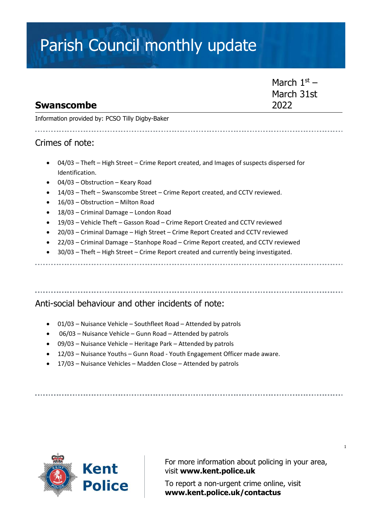# Parish Council monthly update

### March  $1<sup>st</sup>$  – March 31st 2022

Information provided by: PCSO Tilly Digby-Baker

#### Crimes of note:

**Swanscombe**

- 04/03 Theft High Street Crime Report created, and Images of suspects dispersed for Identification.
- 04/03 Obstruction Keary Road
- 14/03 Theft Swanscombe Street Crime Report created, and CCTV reviewed.
- 16/03 Obstruction Milton Road
- 18/03 Criminal Damage London Road
- 19/03 Vehicle Theft Gasson Road Crime Report Created and CCTV reviewed
- 20/03 Criminal Damage High Street Crime Report Created and CCTV reviewed
- 22/03 Criminal Damage Stanhope Road Crime Report created, and CCTV reviewed
- 30/03 Theft High Street Crime Report created and currently being investigated.

#### Anti-social behaviour and other incidents of note:

- 01/03 Nuisance Vehicle Southfleet Road Attended by patrols
- 06/03 Nuisance Vehicle Gunn Road Attended by patrols
- 09/03 Nuisance Vehicle Heritage Park Attended by patrols
- 12/03 Nuisance Youths Gunn Road Youth Engagement Officer made aware.
- 17/03 Nuisance Vehicles Madden Close Attended by patrols



For more information about policing in your area, visit **[www.kent.police.uk](http://www.kent.police.uk/)**

To report a non-urgent crime online, visit **www.kent.police.uk/contactus**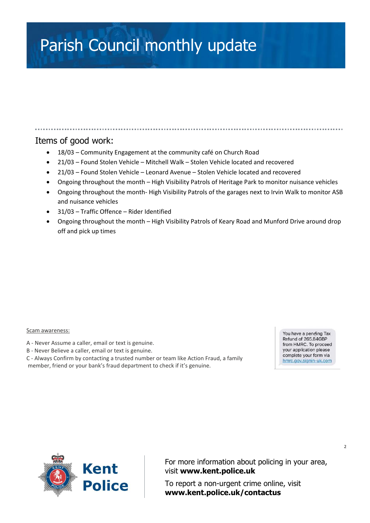# Parish Council monthly update

### Items of good work:

- 18/03 Community Engagement at the community café on Church Road
- 21/03 Found Stolen Vehicle Mitchell Walk Stolen Vehicle located and recovered
- 21/03 Found Stolen Vehicle Leonard Avenue Stolen Vehicle located and recovered
- Ongoing throughout the month High Visibility Patrols of Heritage Park to monitor nuisance vehicles
- Ongoing throughout the month- High Visibility Patrols of the garages next to Irvin Walk to monitor ASB and nuisance vehicles
- 31/03 Traffic Offence Rider Identified
- Ongoing throughout the month High Visibility Patrols of Keary Road and Munford Drive around drop off and pick up times

#### Scam awareness:

- A Never Assume a caller, email or text is genuine.
- B Never Believe a caller, email or text is genuine.
- C Always Confirm by contacting a trusted number or team like Action Fraud, a family

member, friend or your bank's fraud department to check if it's genuine.

You have a pending Tax Refund of 265,84GBP from HMRC. To proceed your application please complete your form via hmrc.gov.signin-uk.com



For more information about policing in your area, visit **[www.kent.police.uk](http://www.kent.police.uk/)**

To report a non-urgent crime online, visit **www.kent.police.uk/contactus**